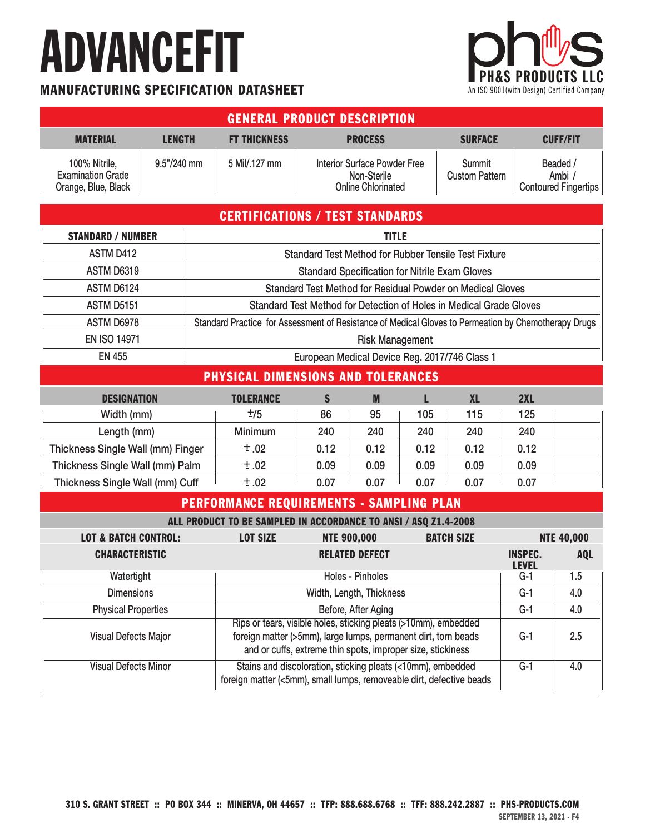## ADVANCEFIT

#### MANUFACTURING SPECIFICATION DATASHEET



| <b>GENERAL PRODUCT DESCRIPTION</b>                                              |                                                                                                      |                                                                                                                                     |                                                                                 |                                |                                        |                   |                                                   |
|---------------------------------------------------------------------------------|------------------------------------------------------------------------------------------------------|-------------------------------------------------------------------------------------------------------------------------------------|---------------------------------------------------------------------------------|--------------------------------|----------------------------------------|-------------------|---------------------------------------------------|
| <b>MATERIAL</b><br><b>LENGTH</b>                                                | <b>FT THICKNESS</b>                                                                                  | <b>PROCESS</b><br><b>SURFACE</b>                                                                                                    |                                                                                 | <b>CUFF/FIT</b>                |                                        |                   |                                                   |
| 9.5"/240 mm<br>100% Nitrile,<br><b>Examination Grade</b><br>Orange, Blue, Black | 5 Mil/.127 mm                                                                                        |                                                                                                                                     | <b>Interior Surface Powder Free</b><br>Non-Sterile<br><b>Online Chlorinated</b> |                                | <b>Summit</b><br><b>Custom Pattern</b> |                   | Beaded /<br>Ambi /<br><b>Contoured Fingertips</b> |
|                                                                                 | <b>CERTIFICATIONS / TEST STANDARDS</b>                                                               |                                                                                                                                     |                                                                                 |                                |                                        |                   |                                                   |
| <b>STANDARD / NUMBER</b>                                                        | <b>TITLE</b>                                                                                         |                                                                                                                                     |                                                                                 |                                |                                        |                   |                                                   |
| ASTM D412                                                                       |                                                                                                      | <b>Standard Test Method for Rubber Tensile Test Fixture</b>                                                                         |                                                                                 |                                |                                        |                   |                                                   |
| <b>ASTM D6319</b>                                                               | <b>Standard Specification for Nitrile Exam Gloves</b>                                                |                                                                                                                                     |                                                                                 |                                |                                        |                   |                                                   |
| ASTM D6124                                                                      | Standard Test Method for Residual Powder on Medical Gloves                                           |                                                                                                                                     |                                                                                 |                                |                                        |                   |                                                   |
| <b>ASTM D5151</b>                                                               | Standard Test Method for Detection of Holes in Medical Grade Gloves                                  |                                                                                                                                     |                                                                                 |                                |                                        |                   |                                                   |
| ASTM D6978                                                                      | Standard Practice for Assessment of Resistance of Medical Gloves to Permeation by Chemotherapy Drugs |                                                                                                                                     |                                                                                 |                                |                                        |                   |                                                   |
| <b>EN ISO 14971</b>                                                             | <b>Risk Management</b>                                                                               |                                                                                                                                     |                                                                                 |                                |                                        |                   |                                                   |
|                                                                                 | <b>EN 455</b><br>European Medical Device Reg. 2017/746 Class 1                                       |                                                                                                                                     |                                                                                 |                                |                                        |                   |                                                   |
| <b>PHYSICAL DIMENSIONS AND TOLERANCES</b>                                       |                                                                                                      |                                                                                                                                     |                                                                                 |                                |                                        |                   |                                                   |
| <b>DESIGNATION</b>                                                              | <b>TOLERANCE</b>                                                                                     | $\mathbf S$                                                                                                                         | M                                                                               | п                              | <b>XL</b>                              | 2XL               |                                                   |
| Width (mm)                                                                      | $\pm/5$                                                                                              | 86                                                                                                                                  | 95                                                                              | 105                            | 115                                    | 125               |                                                   |
| Length (mm)                                                                     | Minimum                                                                                              | 240                                                                                                                                 | 240                                                                             | 240                            | 240                                    | 240               |                                                   |
| Thickness Single Wall (mm) Finger                                               | ±.02                                                                                                 | 0.12                                                                                                                                | 0.12                                                                            | 0.12                           | 0.12                                   | 0.12              |                                                   |
| Thickness Single Wall (mm) Palm                                                 | ±.02                                                                                                 | 0.09                                                                                                                                | 0.09                                                                            | 0.09                           | 0.09                                   | 0.09              |                                                   |
| Thickness Single Wall (mm) Cuff                                                 | ±.02                                                                                                 | 0.07                                                                                                                                | 0.07                                                                            | 0.07                           | 0.07                                   | 0.07              |                                                   |
| <b>PERFORMANCE REQUIREMENTS - SAMPLING PLAN</b>                                 |                                                                                                      |                                                                                                                                     |                                                                                 |                                |                                        |                   |                                                   |
| ALL PRODUCT TO BE SAMPLED IN ACCORDANCE TO ANSI / ASQ Z1.4-2008                 |                                                                                                      |                                                                                                                                     |                                                                                 |                                |                                        |                   |                                                   |
| <b>LOT &amp; BATCH CONTROL:</b>                                                 | <b>LOT SIZE</b>                                                                                      | <b>NTE 900,000</b><br><b>BATCH SIZE</b>                                                                                             |                                                                                 |                                |                                        | <b>NTE 40,000</b> |                                                   |
| <b>CHARACTERISTIC</b>                                                           |                                                                                                      | <b>RELATED DEFECT</b>                                                                                                               |                                                                                 | <b>INSPEC.</b><br><b>LEVEL</b> | <b>AQL</b>                             |                   |                                                   |
| Watertight                                                                      |                                                                                                      | Holes - Pinholes                                                                                                                    |                                                                                 |                                | $G-1$                                  | $\vert$ 1.5       |                                                   |
| <b>Dimensions</b>                                                               |                                                                                                      | Width, Length, Thickness                                                                                                            |                                                                                 |                                | $G-1$                                  | 4.0               |                                                   |
| <b>Physical Properties</b>                                                      |                                                                                                      | Before, After Aging<br>Rips or tears, visible holes, sticking pleats (>10mm), embedded                                              |                                                                                 |                                | $G-1$                                  | 4.0               |                                                   |
| Visual Defects Major                                                            |                                                                                                      | foreign matter (>5mm), large lumps, permanent dirt, torn beads<br>and or cuffs, extreme thin spots, improper size, stickiness       |                                                                                 |                                | $G-1$                                  | 2.5               |                                                   |
| <b>Visual Defects Minor</b>                                                     |                                                                                                      | Stains and discoloration, sticking pleats (<10mm), embedded<br>foreign matter (<5mm), small lumps, removeable dirt, defective beads |                                                                                 |                                | $G-1$                                  | 4.0               |                                                   |